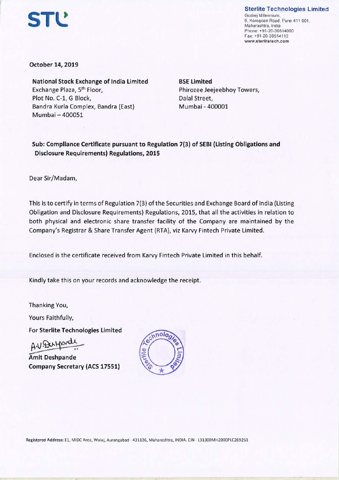## Sterlite Technologies Limited

Godrej Millennium, 9. Koregoan Road, Pune 411 001, Maharashtra, India Phone: +91-20-30514000 Fax: +91-20-30514113 www.sterlitetech.com

**October 14, 2019** 

**STL** 

**National Stock Exchange of India Limited**  Exchange Plaza, 5th Floor, Plot No. C-1, G Block, Bandra Kurla Complex, Bandra (East) Mumbai - 400051

**BSE Limited**  Phirozee Jeejeebhoy Towers, Dalal Street, Mumbai - 400001

**Sub: Compliance Certificate pursuant to Regulation 7(3) of SEBI (Listing Obligations and Disclosure Requirements) Regulations, 2015** 

Dear Sir/Madam,

This is to certify in terms of Regulation 7(3) of the Securities and Exchange Board of India (Listing Obligation and Disclosure Requirements) Regulations, 2015, that all the activities in relation to both physical and electronic share transfer facility of the Company are maintained by the Company's Registrar & Share Transfer Agent (RTA), viz Karvy Fintech Private Limited.

Enclosed is the certificate received from Karvy Fintech Private Limited in this behalf.

Kindly take this on your records and acknowledge the receipt.

Thanking You,

Yours Faithfully,

For **Sterlite Technologies Limited** 

**Amit Deshpande** Yours Faithfully,<br>For Sterlite Technologies Limited<br>A.V. Durhord!<br>Amit Deshpande<br>Commer Communication (105.1755) **Company Secretary (ACS 17551)**